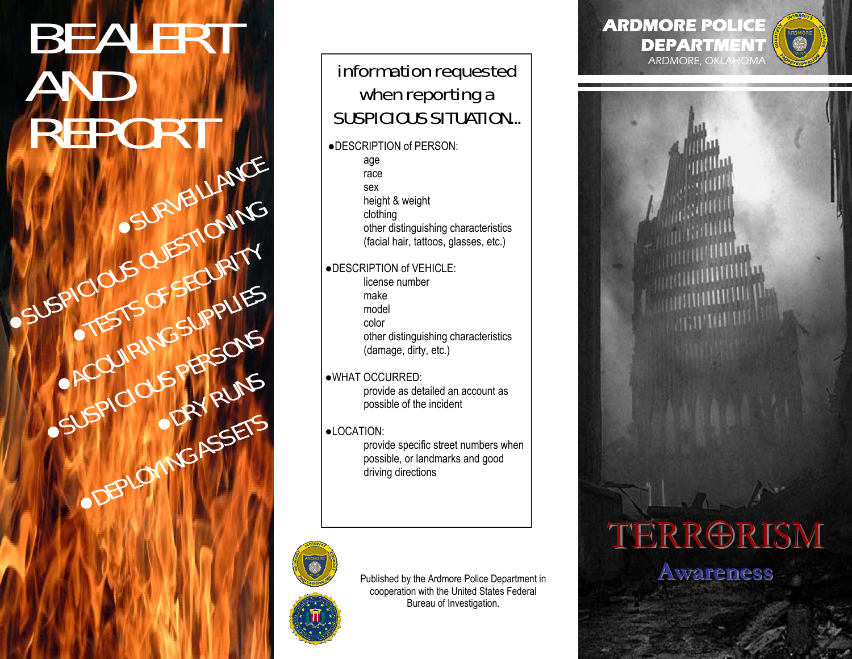

### information requested when reporting a SUSPICIOUS SITUATION...

●DESCRIPTION of PERSON:

 age race sex height & weight clothing other distinguishing characteristics (facial hair, tattoos, glasses, etc.)

●DESCRIPTION of VEHICLE: license number make model color other distinguishing characteristics (damage, dirty, etc.)

●WHAT OCCURRED:

 provide as detailed an account as possible of the incident

●LOCATION:

 provide specific street numbers when possible, or landmarks and good driving directions



Published by the Ardmore Police Department in cooperation with the United States Federal Bureau of Investigation.